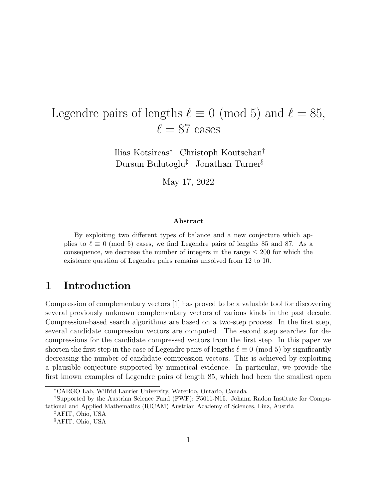# Legendre pairs of lengths  $\ell \equiv 0 \pmod{5}$  and  $\ell = 85$ ,  $\ell = 87$  cases

Ilias Kotsireas<sup>∗</sup> Christoph Koutschan† Dursun Bulutoglu‡ Jonathan Turner§

May 17, 2022

#### Abstract

By exploiting two different types of balance and a new conjecture which applies to  $\ell \equiv 0 \pmod{5}$  cases, we find Legendre pairs of lengths 85 and 87. As a consequence, we decrease the number of integers in the range  $\leq 200$  for which the existence question of Legendre pairs remains unsolved from 12 to 10.

#### 1 Introduction

Compression of complementary vectors [1] has proved to be a valuable tool for discovering several previously unknown complementary vectors of various kinds in the past decade. Compression-based search algorithms are based on a two-step process. In the first step, several candidate compression vectors are computed. The second step searches for decompressions for the candidate compressed vectors from the first step. In this paper we shorten the first step in the case of Legendre pairs of lengths  $\ell \equiv 0 \pmod{5}$  by significantly decreasing the number of candidate compression vectors. This is achieved by exploiting a plausible conjecture supported by numerical evidence. In particular, we provide the first known examples of Legendre pairs of length 85, which had been the smallest open

<sup>∗</sup>CARGO Lab, Wilfrid Laurier University, Waterloo, Ontario, Canada

<sup>†</sup>Supported by the Austrian Science Fund (FWF): F5011-N15. Johann Radon Institute for Computational and Applied Mathematics (RICAM) Austrian Academy of Sciences, Linz, Austria

<sup>‡</sup>AFIT, Ohio, USA

<sup>§</sup>AFIT, Ohio, USA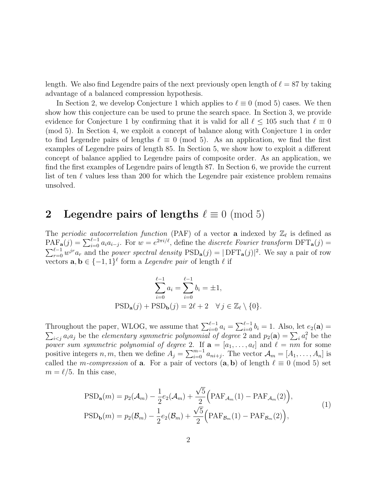length. We also find Legendre pairs of the next previously open length of  $\ell = 87$  by taking advantage of a balanced compression hypothesis.

In Section 2, we develop Conjecture 1 which applies to  $\ell \equiv 0 \pmod{5}$  cases. We then show how this conjecture can be used to prune the search space. In Section 3, we provide evidence for Conjecture 1 by confirming that it is valid for all  $\ell < 105$  such that  $\ell \equiv 0$ (mod 5). In Section 4, we exploit a concept of balance along with Conjecture 1 in order to find Legendre pairs of lengths  $\ell \equiv 0 \pmod{5}$ . As an application, we find the first examples of Legendre pairs of length 85. In Section 5, we show how to exploit a different concept of balance applied to Legendre pairs of composite order. As an application, we find the first examples of Legendre pairs of length 87. In Section 6, we provide the current list of ten  $\ell$  values less than 200 for which the Legendre pair existence problem remains unsolved.

#### 2 Legendre pairs of lengths  $\ell \equiv 0 \pmod{5}$

The periodic autocorrelation function (PAF) of a vector **a** indexed by  $\mathbb{Z}_{\ell}$  is defined as  $\text{PAF}_{\mathbf{a}}(j) = \sum_{i=0}^{\ell-1} a_i a_{i-j}$ . For  $w = e^{2\pi i/\ell}$ , define the *discrete Fourier transform*  $\text{DFT}_{\mathbf{a}}(j) =$  $\sum_{r=0}^{\ell-1} w^{jr} a_r$  and the *power spectral density*  $PSD_{\bf a}(j) = |DFT_{\bf a}(j)|^2$ . We say a pair of row vectors  $\mathbf{a}, \mathbf{b} \in \{-1, 1\}^{\ell}$  form a *Legendre pair* of length  $\ell$  if

$$
\sum_{i=0}^{\ell-1} a_i = \sum_{i=0}^{\ell-1} b_i = \pm 1,
$$
  
 
$$
\text{PSD}_{\mathbf{a}}(j) + \text{PSD}_{\mathbf{b}}(j) = 2\ell + 2 \quad \forall j \in \mathbb{Z}_{\ell} \setminus \{0\}.
$$

Throughout the paper, WLOG, we assume that  $\sum_{i=0}^{\ell-1} a_i = \sum_{i=0}^{\ell-1} \sum_{i=0}^{\ell-1} a_i$ <br> $\sum_{i \leq i} a_i a_j$  be the *elementary symmetric polynomial of degree* 2 a  $b_i = 1$ . Also, let  $e_2(\mathbf{a}) =$  $i<sub>i</sub> a<sub>i</sub> a<sub>j</sub>$  be the *elementary symmetric polynomial of degree* 2 and  $p_2(\mathbf{a}) = \sum_i a_i^2$  be the power sum symmetric polynomial of degree 2. If  $\mathbf{a} = [a_1, \ldots, a_\ell]$  and  $\ell = nm$  for some positive integers n, m, then we define  $A_j = \sum_{i=0}^{m-1} a_{ni+j}$ . The vector  $\mathcal{A}_m = [A_1, \ldots, A_n]$  is called the *m-compression* of **a**. For a pair of vectors  $(a, b)$  of length  $\ell \equiv 0 \pmod{5}$  set  $m = \ell/5$ . In this case,

$$
PSD_{\mathbf{a}}(m) = p_2(\mathcal{A}_m) - \frac{1}{2} e_2(\mathcal{A}_m) + \frac{\sqrt{5}}{2} \Big( PAF_{\mathcal{A}_m}(1) - PAF_{\mathcal{A}_m}(2) \Big),
$$
  
\n
$$
PSD_{\mathbf{b}}(m) = p_2(\mathcal{B}_m) - \frac{1}{2} e_2(\mathcal{B}_m) + \frac{\sqrt{5}}{2} \Big( PAF_{\mathcal{B}_m}(1) - PAF_{\mathcal{B}_m}(2) \Big),
$$
\n(1)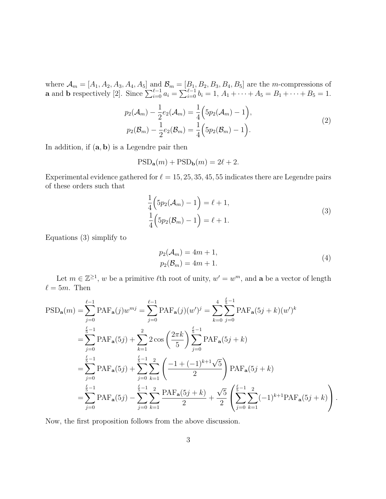where  $\mathcal{A}_m = [A_1, A_2, A_3, A_4, A_5]$  and  $\mathcal{B}_m = [B_1, B_2, B_3, B_4, B_5]$  are the m-compressions of **a** and **b** respectively [2]. Since  $\sum_{i=0}^{\ell-1} a_i = \sum_{i=0}^{\ell-1} b_i = 1, A_1 + \cdots + A_5 = B_1 + \cdots + B_5 = 1.$ 

$$
p_2(\mathcal{A}_m) - \frac{1}{2}e_2(\mathcal{A}_m) = \frac{1}{4}\Big(5p_2(\mathcal{A}_m) - 1\Big),
$$
  
\n
$$
p_2(\mathcal{B}_m) - \frac{1}{2}e_2(\mathcal{B}_m) = \frac{1}{4}\Big(5p_2(\mathcal{B}_m) - 1\Big).
$$
\n(2)

In addition, if  $(a, b)$  is a Legendre pair then

$$
\mathrm{PSD}_{\mathbf{a}}(m) + \mathrm{PSD}_{\mathbf{b}}(m) = 2\ell + 2.
$$

Experimental evidence gathered for  $\ell = 15, 25, 35, 45, 55$  indicates there are Legendre pairs of these orders such that

$$
\frac{1}{4}\left(5p_2(\mathcal{A}_m) - 1\right) = \ell + 1,
$$
\n
$$
\frac{1}{4}\left(5p_2(\mathcal{B}_m) - 1\right) = \ell + 1.
$$
\n(3)

Equations (3) simplify to

$$
p_2(\mathcal{A}_m) = 4m + 1,
$$
  
\n
$$
p_2(\mathcal{B}_m) = 4m + 1.
$$
\n(4)

Let  $m \in \mathbb{Z}^{\geq 1}$ , w be a primitive  $\ell$ th root of unity,  $w' = w^m$ , and **a** be a vector of length  $\ell = 5m$ . Then

$$
\begin{split} \text{PSD}_{\mathbf{a}}(m) &= \sum_{j=0}^{\ell-1} \text{PAF}_{\mathbf{a}}(j)w^{mj} = \sum_{j=0}^{\ell-1} \text{PAF}_{\mathbf{a}}(j)(w')^{j} = \sum_{k=0}^{4} \sum_{j=0}^{\frac{\ell}{5}-1} \text{PAF}_{\mathbf{a}}(5j+k)(w')^{k} \\ &= \sum_{j=0}^{\frac{\ell}{5}-1} \text{PAF}_{\mathbf{a}}(5j) + \sum_{k=1}^{2} 2 \cos\left(\frac{2\pi k}{5}\right) \sum_{j=0}^{\frac{\ell}{5}-1} \text{PAF}_{\mathbf{a}}(5j+k) \\ &= \sum_{j=0}^{\frac{\ell}{5}-1} \text{PAF}_{\mathbf{a}}(5j) + \sum_{j=0}^{\frac{\ell}{5}-1} \sum_{k=1}^{2} \left(\frac{-1+(-1)^{k+1}\sqrt{5}}{2}\right) \text{PAF}_{\mathbf{a}}(5j+k) \\ &= \sum_{j=0}^{\frac{\ell}{5}-1} \text{PAF}_{\mathbf{a}}(5j) - \sum_{j=0}^{\frac{\ell}{5}-1} \sum_{k=1}^{2} \frac{\text{PAF}_{\mathbf{a}}(5j+k)}{2} + \frac{\sqrt{5}}{2} \left(\sum_{j=0}^{\frac{\ell}{5}-1} \sum_{k=1}^{2} (-1)^{k+1} \text{PAF}_{\mathbf{a}}(5j+k)\right). \end{split}
$$

Now, the first proposition follows from the above discussion.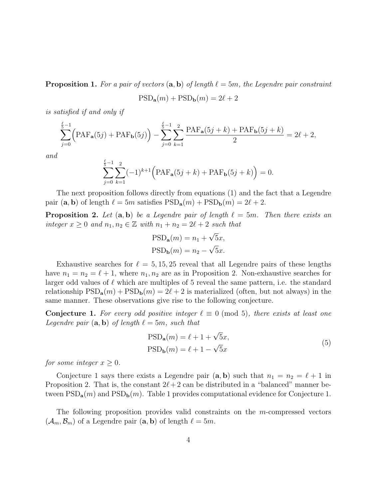**Proposition 1.** For a pair of vectors  $(a, b)$  of length  $\ell = 5m$ , the Legendre pair constraint

$$
\mathrm{PSD}_{\mathbf{a}}(m) + \mathrm{PSD}_{\mathbf{b}}(m) = 2\ell + 2
$$

is satisfied if and only if

$$
\sum_{j=0}^{\frac{\ell}{5}-1} \Big( \text{PAF}_{\mathbf{a}}(5j) + \text{PAF}_{\mathbf{b}}(5j) \Big) - \sum_{j=0}^{\frac{\ell}{5}-1} \sum_{k=1}^{2} \frac{\text{PAF}_{\mathbf{a}}(5j+k) + \text{PAF}_{\mathbf{b}}(5j+k)}{2} = 2\ell + 2,
$$

and

$$
\sum_{j=0}^{\frac{\ell}{5}-1} \sum_{k=1}^{2} (-1)^{k+1} \Big( \text{PAF}_{\mathbf{a}}(5j+k) + \text{PAF}_{\mathbf{b}}(5j+k) \Big) = 0.
$$

The next proposition follows directly from equations (1) and the fact that a Legendre pair  $(\mathbf{a}, \mathbf{b})$  of length  $\ell = 5m$  satisfies  $PSD_{\mathbf{a}}(m) + PSD_{\mathbf{b}}(m) = 2\ell + 2$ .

**Proposition 2.** Let  $(a, b)$  be a Legendre pair of length  $\ell = 5m$ . Then there exists an integer  $x \geq 0$  and  $n_1, n_2 \in \mathbb{Z}$  with  $n_1 + n_2 = 2\ell + 2$  such that

$$
PSD_{\mathbf{a}}(m) = n_1 + \sqrt{5}x,
$$
  
\n
$$
PSD_{\mathbf{b}}(m) = n_2 - \sqrt{5}x.
$$

Exhaustive searches for  $\ell = 5, 15, 25$  reveal that all Legendre pairs of these lengths have  $n_1 = n_2 = \ell + 1$ , where  $n_1, n_2$  are as in Proposition 2. Non-exhaustive searches for larger odd values of  $\ell$  which are multiples of 5 reveal the same pattern, i.e. the standard relationship  $PSD_a(m) + PSD_b(m) = 2\ell + 2$  is materialized (often, but not always) in the same manner. These observations give rise to the following conjecture.

**Conjecture 1.** For every odd positive integer  $\ell \equiv 0 \pmod{5}$ , there exists at least one Legendre pair  $(a, b)$  of length  $\ell = 5m$ , such that

$$
PSD_{\mathbf{a}}(m) = \ell + 1 + \sqrt{5}x,
$$
  
\n
$$
PSD_{\mathbf{b}}(m) = \ell + 1 - \sqrt{5}x
$$
\n(5)

for some integer  $x \geq 0$ .

Conjecture 1 says there exists a Legendre pair  $(a, b)$  such that  $n_1 = n_2 = \ell + 1$  in Proposition 2. That is, the constant  $2\ell + 2$  can be distributed in a "balanced" manner between  $PSD_{a}(m)$  and  $PSD_{b}(m)$ . Table 1 provides computational evidence for Conjecture 1.

The following proposition provides valid constraints on the m-compressed vectors  $(\mathcal{A}_m, \mathcal{B}_m)$  of a Legendre pair  $(a, b)$  of length  $\ell = 5m$ .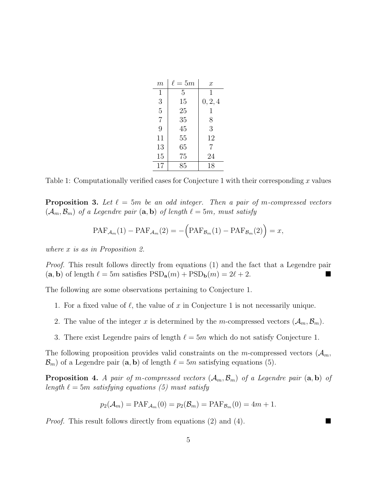| m              | $\ell=5m$ | $\boldsymbol{x}$ |
|----------------|-----------|------------------|
| $\mathbf{1}$   | 5         | 1                |
| 3              | 15        | 0, 2, 4          |
| $\overline{5}$ | 25        | 1                |
| $\overline{7}$ | 35        | 8                |
| 9              | 45        | 3                |
| 11             | 55        | 12               |
| 13             | 65        | 7                |
| 15             | 75        | 24               |
| 17             | 85        | 18               |

Table 1: Computationally verified cases for Conjecture 1 with their corresponding  $x$  values

**Proposition 3.** Let  $\ell = 5m$  be an odd integer. Then a pair of m-compressed vectors  $(\mathcal{A}_m, \mathcal{B}_m)$  of a Legendre pair  $(a, b)$  of length  $\ell = 5m$ , must satisfy

$$
PAF_{\mathcal{A}_m}(1) - PAF_{\mathcal{A}_m}(2) = -\Big(\text{PAF}_{\mathcal{B}_m}(1) - PAF_{\mathcal{B}_m}(2)\Big) = x,
$$

where x is as in Proposition 2.

Proof. This result follows directly from equations (1) and the fact that a Legendre pair  $(a, b)$  of length  $\ell = 5m$  satisfies  $PSD_{a}(m) + PSD_{b}(m) = 2\ell + 2$ .

The following are some observations pertaining to Conjecture 1.

- 1. For a fixed value of  $\ell$ , the value of x in Conjecture 1 is not necessarily unique.
- 2. The value of the integer x is determined by the m-compressed vectors  $(\mathcal{A}_m, \mathcal{B}_m)$ .
- 3. There exist Legendre pairs of length  $\ell = 5m$  which do not satisfy Conjecture 1.

The following proposition provides valid constraints on the m-compressed vectors  $(\mathcal{A}_m,$  $\mathcal{B}_m$ ) of a Legendre pair  $(\mathbf{a}, \mathbf{b})$  of length  $\ell = 5m$  satisfying equations (5).

**Proposition 4.** A pair of m-compressed vectors  $(A_m, B_m)$  of a Legendre pair  $(a, b)$  of length  $\ell = 5m$  satisfying equations (5) must satisfy

$$
p_2(\mathcal{A}_m) = PAF_{\mathcal{A}_m}(0) = p_2(\mathcal{B}_m) = PAF_{\mathcal{B}_m}(0) = 4m + 1.
$$

Proof. This result follows directly from equations (2) and (4).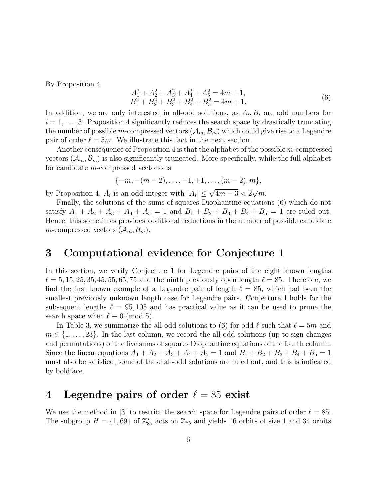By Proposition 4

$$
A_1^2 + A_2^2 + A_3^2 + A_4^2 + A_5^2 = 4m + 1,
$$
  
\n
$$
B_1^2 + B_2^2 + B_3^2 + B_4^2 + B_5^2 = 4m + 1.
$$
\n(6)

In addition, we are only interested in all-odd solutions, as  $A_i, B_i$  are odd numbers for  $i = 1, \ldots, 5$ . Proposition 4 significantly reduces the search space by drastically truncating the number of possible m-compressed vectors  $(A_m, \mathcal{B}_m)$  which could give rise to a Legendre pair of order  $\ell = 5m$ . We illustrate this fact in the next section.

Another consequence of Proposition 4 is that the alphabet of the possible m-compressed vectors  $(A_m, B_m)$  is also significantly truncated. More specifically, while the full alphabet for candidate m-compressed vectorss is

$$
\{-m,-(m-2),\ldots,-1,+1,\ldots,(m-2),m\},\,
$$

by Proposition 4,  $A_i$  is an odd integer with  $|A_i| \leq \sqrt{4m-3} < 2$ √  $\overline{m}$ .

Finally, the solutions of the sums-of-squares Diophantine equations (6) which do not satisfy  $A_1 + A_2 + A_3 + A_4 + A_5 = 1$  and  $B_1 + B_2 + B_3 + B_4 + B_5 = 1$  are ruled out. Hence, this sometimes provides additional reductions in the number of possible candidate m-compressed vectors  $(\mathcal{A}_m, \mathcal{B}_m)$ .

#### 3 Computational evidence for Conjecture 1

In this section, we verify Conjecture 1 for Legendre pairs of the eight known lengths  $\ell = 5, 15, 25, 35, 45, 55, 65, 75$  and the ninth previously open length  $\ell = 85$ . Therefore, we find the first known example of a Legendre pair of length  $\ell = 85$ , which had been the smallest previously unknown length case for Legendre pairs. Conjecture 1 holds for the subsequent lengths  $\ell = 95, 105$  and has practical value as it can be used to prune the search space when  $\ell \equiv 0 \pmod{5}$ .

In Table 3, we summarize the all-odd solutions to (6) for odd  $\ell$  such that  $\ell = 5m$  and  $m \in \{1, \ldots, 23\}$ . In the last column, we record the all-odd solutions (up to sign changes and permutations) of the five sums of squares Diophantine equations of the fourth column. Since the linear equations  $A_1 + A_2 + A_3 + A_4 + A_5 = 1$  and  $B_1 + B_2 + B_3 + B_4 + B_5 = 1$ must also be satisfied, some of these all-odd solutions are ruled out, and this is indicated by boldface.

#### 4 Legendre pairs of order  $\ell = 85$  exist

We use the method in [3] to restrict the search space for Legendre pairs of order  $\ell = 85$ . The subgroup  $H = \{1, 69\}$  of  $\mathbb{Z}_{85}^*$  acts on  $\mathbb{Z}_{85}$  and yields 16 orbits of size 1 and 34 orbits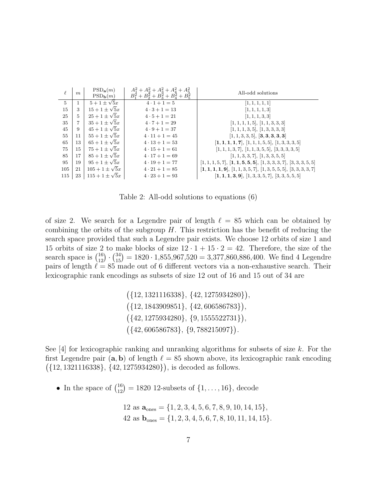| $\ell$         | m              | $PSD_{\bf a}(m)$<br>$PSD_{\bf b}(m)$ | $A_1^2 + A_2^2 + A_3^2 + A_4^2 + A_5^2$<br>$B_1^2 + B_2^2 + B_3^2 + B_4^2 + B_5^2$ | All-odd solutions                                                    |
|----------------|----------------|--------------------------------------|------------------------------------------------------------------------------------|----------------------------------------------------------------------|
| $\overline{5}$ | 1              | $5+1\pm\sqrt{5x}$                    | $4 \cdot 1 + 1 = 5$                                                                | [1, 1, 1, 1, 1]                                                      |
| 15             | 3              | $15 + 1 \pm \sqrt{5x}$               | $4 \cdot 3 + 1 = 13$                                                               | [1, 1, 1, 1, 3]                                                      |
| 25             | $\overline{5}$ | $25 + 1 \pm \sqrt{5x}$               | $4 \cdot 5 + 1 = 21$                                                               | [1, 1, 1, 3, 3]                                                      |
| 35             | 7              | $35 + 1 \pm \sqrt{5x}$               | $4 \cdot 7 + 1 = 29$                                                               | [1, 1, 1, 1, 5], [1, 1, 3, 3, 3]                                     |
| 45             | 9              | $45 + 1 \pm \sqrt{5x}$               | $4 \cdot 9 + 1 = 37$                                                               | [1, 1, 1, 3, 5], [1, 3, 3, 3, 3]                                     |
| 55             | 11             | $55+1\pm\sqrt{5x}$                   | $4 \cdot 11 + 1 = 45$                                                              | [1, 1, 3, 3, 5], [3, 3, 3, 3, 3]                                     |
| 65             | 13             | $65 + 1 \pm \sqrt{5x}$               | $4 \cdot 13 + 1 = 53$                                                              | $[1, 1, 1, 1, 7], [1, 1, 1, 5, 5], [1, 3, 3, 3, 5]$                  |
| 75             | 15             | $75 + 1 \pm \sqrt{5}x$               | $4 \cdot 15 + 1 = 61$                                                              | $[1, 1, 1, 3, 7], [1, 1, 3, 5, 5], [3, 3, 3, 3, 5]$                  |
| 85             | 17             | $85 + 1 \pm \sqrt{5x}$               | $4 \cdot 17 + 1 = 69$                                                              | [1, 1, 3, 3, 7], [1, 3, 3, 5, 5]                                     |
| 95             | 19             | $95 + 1 \pm \sqrt{5}x$               | $4 \cdot 19 + 1 = 77$                                                              | $[1, 1, 1, 5, 7], [1, 1, 5, 5, 5], [1, 3, 3, 3, 7], [3, 3, 3, 5, 5]$ |
| 105            | 21             | $105 + 1 \pm \sqrt{5x}$              | $4 \cdot 21 + 1 = 85$                                                              | $[1, 1, 1, 1, 9], [1, 1, 3, 5, 7], [1, 3, 5, 5, 5], [3, 3, 3, 3, 7]$ |
| 115            | 23             | $115 + 1 \pm \sqrt{5x}$              | $4 \cdot 23 + 1 = 93$                                                              | $[1, 1, 1, 3, 9], [1, 3, 3, 5, 7], [3, 3, 5, 5, 5]$                  |

Table 2: All-odd solutions to equations (6)

of size 2. We search for a Legendre pair of length  $\ell = 85$  which can be obtained by combining the orbits of the subgroup  $H$ . This restriction has the benefit of reducing the search space provided that such a Legendre pair exists. We choose 12 orbits of size 1 and 15 orbits of size 2 to make blocks of size  $12 \cdot 1 + 15 \cdot 2 = 42$ . Therefore, the size of the search space is  $\binom{16}{12} \cdot \binom{34}{15} = 1820 \cdot 1,855,967,520 = 3,377,860,886,400$ . We find 4 Legendre pairs of length  $\ell = 85$  made out of 6 different vectors via a non-exhaustive search. Their lexicographic rank encodings as subsets of size 12 out of 16 and 15 out of 34 are

> $({12, 1321116338}, {42, 1275934280}),$  $({12, 1843909851}, {42, 606586783}),$  $({42, 1275934280}, {9, 1555522731}),$  $({42, 606586783}, {9,788215097}).$

See  $[4]$  for lexicographic ranking and unranking algorithms for subsets of size k. For the first Legendre pair  $(a, b)$  of length  $\ell = 85$  shown above, its lexicographic rank encoding  $({12, 1321116338}, {42, 1275934280}),$  is decoded as follows.

• In the space of  $\binom{16}{12} = 1820$  12-subsets of  $\{1, ..., 16\}$ , decode

12 as 
$$
\mathbf{a}_{ones} = \{1, 2, 3, 4, 5, 6, 7, 8, 9, 10, 14, 15\},\
$$
  
42 as  $\mathbf{b}_{ones} = \{1, 2, 3, 4, 5, 6, 7, 8, 10, 11, 14, 15\}.$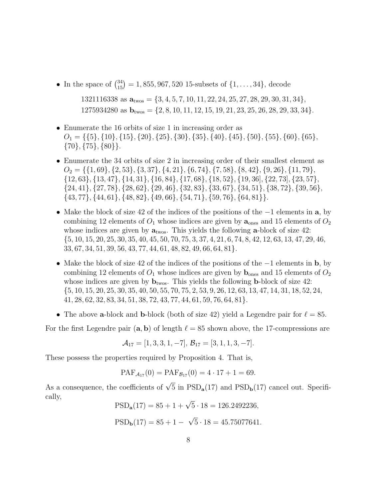• In the space of  $\binom{34}{15} = 1,855,967,520$  15-subsets of  $\{1,\ldots,34\}$ , decode

1321116338 as  $\mathbf{a}_{\text{two}} = \{3, 4, 5, 7, 10, 11, 22, 24, 25, 27, 28, 29, 30, 31, 34\},\$  $1275934280$  as  $\mathbf{b}_{\text{twos}} = \{2, 8, 10, 11, 12, 15, 19, 21, 23, 25, 26, 28, 29, 33, 34\}.$ 

- Enumerate the 16 orbits of size 1 in increasing order as  $O_1 = \{ \{5\}, \{10\}, \{15\}, \{20\}, \{25\}, \{30\}, \{35\}, \{40\}, \{45\}, \{50\}, \{55\}, \{60\}, \{65\},$  $\{70\}, \{75\}, \{80\}\}.$
- Enumerate the 34 orbits of size 2 in increasing order of their smallest element as  $O_2 = \{ \{1, 69\}, \{2, 53\}, \{3, 37\}, \{4, 21\}, \{6, 74\}, \{7, 58\}, \{8, 42\}, \{9, 26\}, \{11, 79\},$ {12, 63}, {13, 47}, {14, 31}, {16, 84}, {17, 68}, {18, 52}, {19, 36], {22, 73], {23, 57}, {24, 41}, {27, 78}, {28, 62}, {29, 46}, {32, 83}, {33, 67}, {34, 51}, {38, 72}, {39, 56}, {43, 77}, {44, 61}, {48, 82}, {49, 66}, {54, 71}, {59, 76}, {64, 81}}.
- Make the block of size 42 of the indices of the positions of the −1 elements in a, by combining 12 elements of  $O_1$  whose indices are given by  $a_{\text{ones}}$  and 15 elements of  $O_2$ whose indices are given by  $a_{\text{two}}$ . This yields the following a-block of size 42: {5, 10, 15, 20, 25, 30, 35, 40, 45, 50, 70, 75, 3, 37, 4, 21, 6, 74, 8, 42, 12, 63, 13, 47, 29, 46, 33, 67, 34, 51, 39, 56, 43, 77, 44, 61, 48, 82, 49, 66, 64, 81}.
- Make the block of size 42 of the indices of the positions of the −1 elements in b, by combining 12 elements of  $O_1$  whose indices are given by  $\mathbf{b}_{\text{ones}}$  and 15 elements of  $O_2$ whose indices are given by  $\mathbf{b}_{\text{two}}$ . This yields the following **b**-block of size 42: {5, 10, 15, 20, 25, 30, 35, 40, 50, 55, 70, 75, 2, 53, 9, 26, 12, 63, 13, 47, 14, 31, 18, 52, 24, 41, 28, 62, 32, 83, 34, 51, 38, 72, 43, 77, 44, 61, 59, 76, 64, 81}.
- The above a-block and b-block (both of size 42) yield a Legendre pair for  $\ell = 85$ .

For the first Legendre pair  $(a, b)$  of length  $\ell = 85$  shown above, the 17-compressions are

$$
\mathcal{A}_{17}=[1,3,3,1,-7], \mathcal{B}_{17}=[3,1,1,3,-7].
$$

These possess the properties required by Proposition 4. That is,

$$
PAF_{\mathcal{A}_{17}}(0) = PAF_{\mathcal{B}_{17}}(0) = 4 \cdot 17 + 1 = 69.
$$

As a consequence, the coefficients of  $\sqrt{5}$  in  $PSD_{a}(17)$  and  $PSD_{b}(17)$  cancel out. Specifically,

 $PSD_{\bf a}(17) = 85 + 1 + \sqrt{5} \cdot 18 = 126.2492236,$ 

$$
\text{PSD}_{\mathbf{b}}(17) = 85 + 1 - \sqrt{5} \cdot 18 = 45.75077641.
$$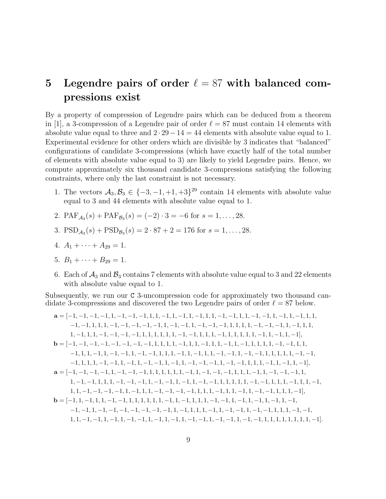## 5 Legendre pairs of order  $\ell = 87$  with balanced compressions exist

By a property of compression of Legendre pairs which can be deduced from a theorem in [1], a 3-compression of a Legendre pair of order  $\ell = 87$  must contain 14 elements with absolute value equal to three and  $2 \cdot 29 - 14 = 44$  elements with absolute value equal to 1. Experimental evidence for other orders which are divisible by 3 indicates that "balanced" configurations of candidate 3-compressions (which have exactly half of the total number of elements with absolute value equal to 3) are likely to yield Legendre pairs. Hence, we compute approximately six thousand candidate 3-compressions satisfying the following constraints, where only the last constraint is not necessary.

- 1. The vectors  $A_3, B_3 \in \{-3, -1, +1, +3\}^{29}$  contain 14 elements with absolute value equal to 3 and 44 elements with absolute value equal to 1.
- 2.  $\text{PAF}_{\mathcal{A}_3}(s) + \text{PAF}_{\mathcal{B}_3}(s) = (-2) \cdot 3 = -6 \text{ for } s = 1, \ldots, 28.$
- 3.  $PSD_{\mathcal{A}_3}(s) + PSD_{\mathcal{B}_3}(s) = 2 \cdot 87 + 2 = 176$  for  $s = 1, ..., 28$ .
- 4.  $A_1 + \cdots + A_{29} = 1$ .
- 5.  $B_1 + \cdots + B_{29} = 1$ .
- 6. Each of  $\mathcal{A}_3$  and  $\mathcal{B}_3$  contains 7 elements with absolute value equal to 3 and 22 elements with absolute value equal to 1.

Subsequently, we run our C 3-uncompression code for approximately two thousand candidate 3-compressions and discovered the two Legendre pairs of order  $\ell = 87$  below.

a = [−1, −1, −1, −1, 1, −1, −1, −1, 1, 1, −1, 1, −1, 1, −1, 1, 1, −1, −1, 1, 1, −1, −1, 1, −1, 1, −1, 1, 1, −1, −1, 1, 1, 1, −1, −1, −1, −1, −1, 1, −1, −1, 1, −1, −1, −1, 1, 1, 1, 1, −1, −1, −1, 1, −1, 1, 1, 1, −1, 1, 1, −1, −1, −1, −1, 1, 1, 1, 1, 1, 1, −1, −1, 1, 1, 1, −1, 1, 1, 1, 1, 1, −1, 1, −1, 1, −1], b = [−1, −1, −1, −1, −1, −1, −1, −1, 1, 1, 1, 1, −1, 1, 1, −1, 1, 1, −1, 1, −1, 1, 1, 1, 1, −1, −1, 1, 1, −1, 1, 1, −1, 1, −1, −1, 1, −1, −1, 1, 1, 1, −1, 1, −1, 1, 1, −1, −1, 1, −1, −1, 1, 1, 1, 1, 1, −1, −1, −1, 1, 1, 1, −1, −1, 1, −1, 1, −1, −1, 1, −1, 1, −1, −1, −1, 1, −1, −1, 1, 1, 1, −1, 1, −1, 1, −1], a = [−1, −1, −1, −1, 1, −1, −1, −1, 1, 1, 1, 1, 1, 1, −1, 1, −1, −1, −1, 1, 1, 1, −1, 1, −1, −1, −1, 1, 1, −1, −1, 1, 1, 1, −1, −1, −1, 1, −1, −1, 1, −1, 1, −1, −1, 1, 1, 1, 1, 1, −1, −1, 1, 1, 1, −1, 1, 1, −1, 1, 1, −1, −1, −1, −1, 1, −1, 1, 1, −1, −1, −1, −1, 1, 1, 1, −1, 1, 1, −1, 1, −1, −1, 1, 1, 1, −1], b = [−1, 1, −1, 1, 1, −1, −1, 1, 1, 1, 1, 1, 1, −1, 1, −1, 1, 1, 1, −1, −1, 1, −1, 1, −1, 1, −1, 1, −1, −1, −1, 1, −1, −1, −1, −1, −1, −1, −1, 1, −1, 1, 1, 1, −1, 1, −1, −1, 1, −1, −1, 1, 1, 1, −1, −1, 1, 1, −1, −1, 1, −1, 1, −1, −1, 1, −1, 1, −1, 1, −1, −1, 1, −1, −1, 1, −1, −1, 1, 1, 1, 1, 1, 1, 1, 1, −1].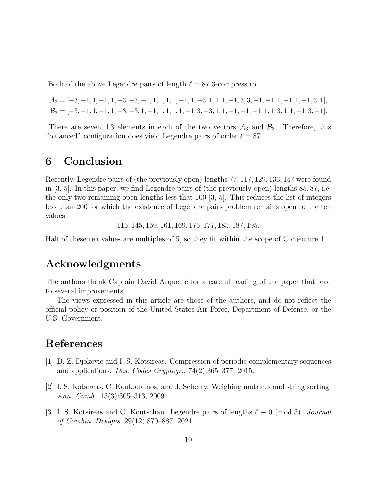Both of the above Legendre pairs of length  $\ell = 87$  3-compress to

 $A_3 = [-3, -1, 1, -1, 1, -3, -3, -1, 1, 1, 1, 1, -1, 1, -3, 1, 1, 1, -1, 3, 3, -1, -1, 1, -1, 1, -1, 3, 1],$  $B_3 = [-3, -1, 1, -1, 1, -3, -3, 1, -1, 1, 1, 1, 1, -1, 3, -3, 1, 1, -1, -1, -1, 1, 1, 3, 1, 1, -1, 3, -1].$ 

There are seven  $\pm 3$  elements in each of the two vectors  $\mathcal{A}_3$  and  $\mathcal{B}_3$ . Therefore, this "balanced" configuration does yield Legendre pairs of order  $\ell = 87$ .

### 6 Conclusion

Recently, Legendre pairs of (the previously open) lengths 77, 117, 129, 133, 147 were found in [3, 5]. In this paper, we find Legendre pairs of (the previously open) lengths 85, 87, i.e. the only two remaining open lengths less that 100 [3, 5]. This reduces the list of integers less than 200 for which the existence of Legendre pairs problem remains open to the ten values:

115, 145, 159, 161, 169, 175, 177, 185, 187, 195.

Half of these ten values are multiples of 5, so they fit within the scope of Conjecture 1.

### Acknowledgments

The authors thank Captain David Arquette for a careful reading of the paper that lead to several improvements.

The views expressed in this article are those of the authors, and do not reflect the official policy or position of the United States Air Force, Department of Defense, or the U.S. Government.

#### References

- [1] D. Z. Djokovic and I. S. Kotsireas. Compression of periodic complementary sequences and applications. Des. Codes Cryptogr., 74(2):365–377, 2015.
- [2] I. S. Kotsireas, C. Koukouvinos, and J. Seberry. Weighing matrices and string sorting. Ann. Comb., 13(3):305–313, 2009.
- [3] I. S. Kotsireas and C. Koutschan. Legendre pairs of lengths  $\ell \equiv 0 \pmod{3}$ . Journal of Combin. Designs, 29(12):870–887, 2021.